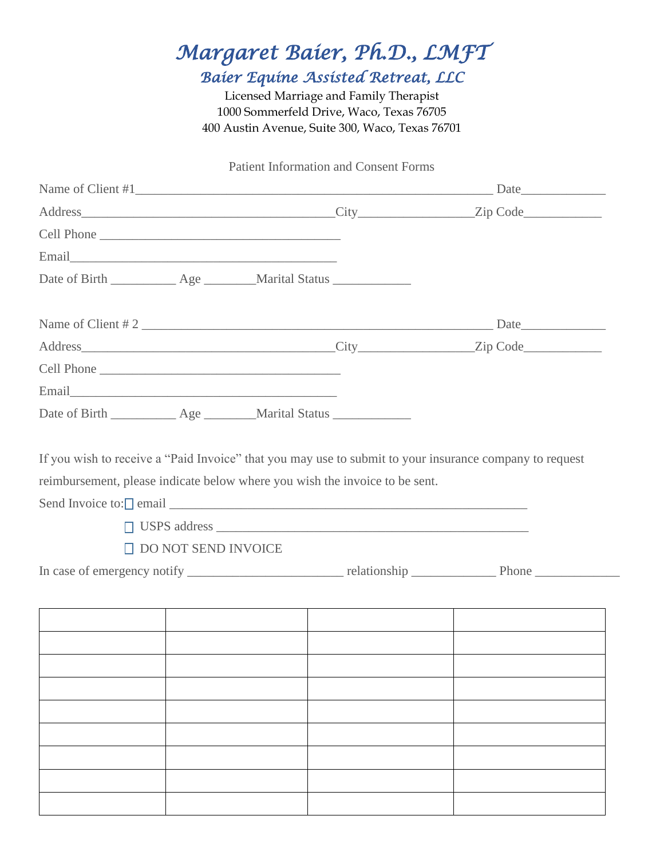## *Margaret Baier, Ph.D., LMFT Baier Equine Assisted Retreat, LLC*

Licensed Marriage and Family Therapist 1000 Sommerfeld Drive, Waco, Texas 76705 400 Austin Avenue, Suite 300, Waco, Texas 76701

### Patient Information and Consent Forms

|                                                                      |                            |  | Name of Client #1  |
|----------------------------------------------------------------------|----------------------------|--|--------------------|
|                                                                      |                            |  |                    |
|                                                                      |                            |  |                    |
|                                                                      |                            |  |                    |
| Date of Birth ____________ Age ________ Marital Status _____________ |                            |  |                    |
|                                                                      |                            |  | Name of Client # 2 |
|                                                                      |                            |  |                    |
|                                                                      |                            |  |                    |
|                                                                      |                            |  |                    |
| Date of Birth ____________ Age ________ Marital Status _____________ |                            |  |                    |
|                                                                      | $\Box$ DO NOT SEND INVOICE |  |                    |
|                                                                      |                            |  |                    |
|                                                                      |                            |  |                    |
|                                                                      |                            |  |                    |
|                                                                      |                            |  |                    |
|                                                                      |                            |  |                    |
|                                                                      |                            |  |                    |
|                                                                      |                            |  |                    |
|                                                                      |                            |  |                    |
|                                                                      |                            |  |                    |
|                                                                      |                            |  |                    |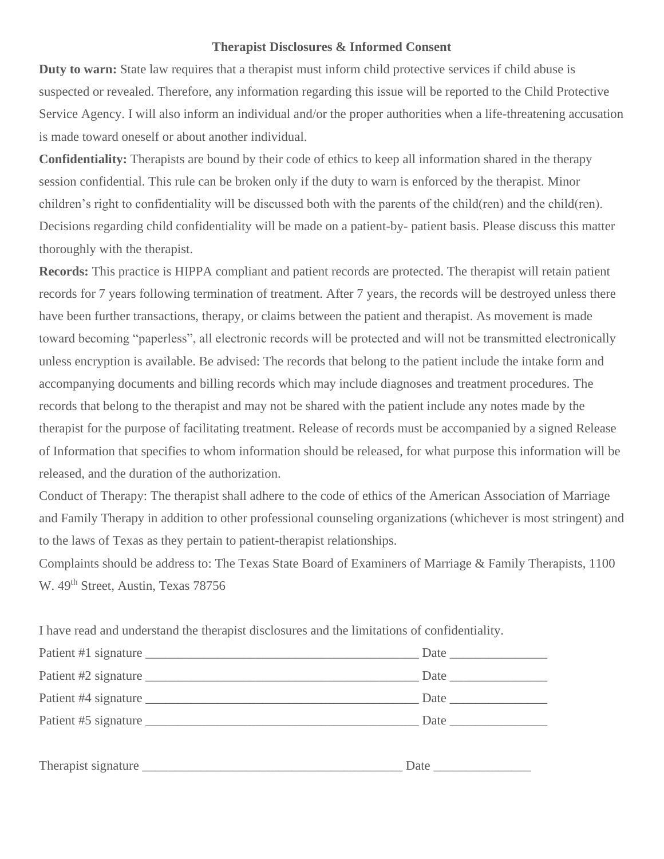#### **Therapist Disclosures & Informed Consent**

**Duty to warn:** State law requires that a therapist must inform child protective services if child abuse is suspected or revealed. Therefore, any information regarding this issue will be reported to the Child Protective Service Agency. I will also inform an individual and/or the proper authorities when a life-threatening accusation is made toward oneself or about another individual.

**Confidentiality:** Therapists are bound by their code of ethics to keep all information shared in the therapy session confidential. This rule can be broken only if the duty to warn is enforced by the therapist. Minor children's right to confidentiality will be discussed both with the parents of the child(ren) and the child(ren). Decisions regarding child confidentiality will be made on a patient-by- patient basis. Please discuss this matter thoroughly with the therapist.

**Records:** This practice is HIPPA compliant and patient records are protected. The therapist will retain patient records for 7 years following termination of treatment. After 7 years, the records will be destroyed unless there have been further transactions, therapy, or claims between the patient and therapist. As movement is made toward becoming "paperless", all electronic records will be protected and will not be transmitted electronically unless encryption is available. Be advised: The records that belong to the patient include the intake form and accompanying documents and billing records which may include diagnoses and treatment procedures. The records that belong to the therapist and may not be shared with the patient include any notes made by the therapist for the purpose of facilitating treatment. Release of records must be accompanied by a signed Release of Information that specifies to whom information should be released, for what purpose this information will be released, and the duration of the authorization.

Conduct of Therapy: The therapist shall adhere to the code of ethics of the American Association of Marriage and Family Therapy in addition to other professional counseling organizations (whichever is most stringent) and to the laws of Texas as they pertain to patient-therapist relationships.

Complaints should be address to: The Texas State Board of Examiners of Marriage & Family Therapists, 1100 W. 49<sup>th</sup> Street, Austin, Texas 78756

I have read and understand the therapist disclosures and the limitations of confidentiality.

| Patient #2 signature | Date |
|----------------------|------|
|                      |      |
| Patient #5 signature |      |
|                      |      |
|                      |      |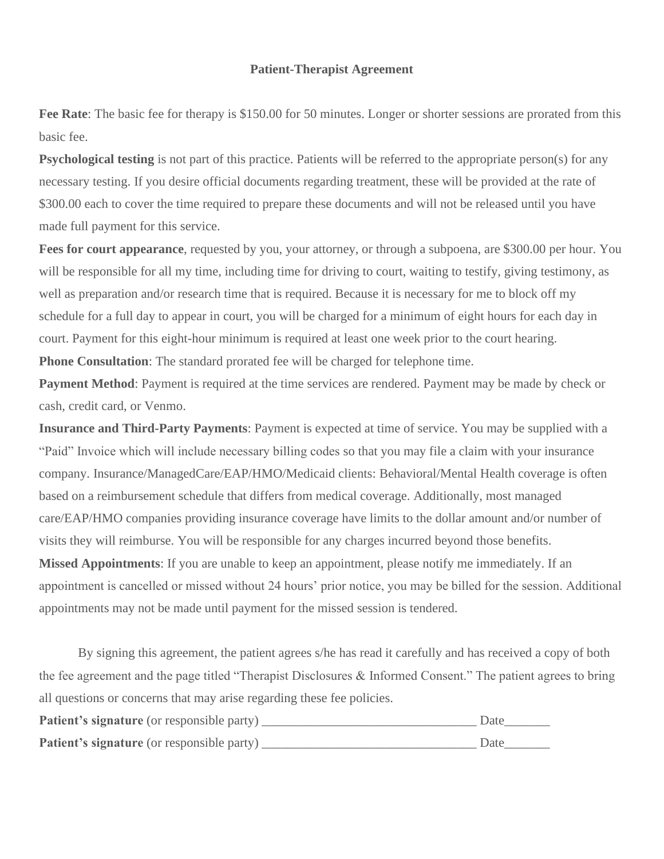#### **Patient-Therapist Agreement**

**Fee Rate**: The basic fee for therapy is \$150.00 for 50 minutes. Longer or shorter sessions are prorated from this basic fee.

**Psychological testing** is not part of this practice. Patients will be referred to the appropriate person(s) for any necessary testing. If you desire official documents regarding treatment, these will be provided at the rate of \$300.00 each to cover the time required to prepare these documents and will not be released until you have made full payment for this service.

**Fees for court appearance**, requested by you, your attorney, or through a subpoena, are \$300.00 per hour. You will be responsible for all my time, including time for driving to court, waiting to testify, giving testimony, as well as preparation and/or research time that is required. Because it is necessary for me to block off my schedule for a full day to appear in court, you will be charged for a minimum of eight hours for each day in court. Payment for this eight-hour minimum is required at least one week prior to the court hearing. **Phone Consultation**: The standard prorated fee will be charged for telephone time.

**Payment Method**: Payment is required at the time services are rendered. Payment may be made by check or cash, credit card, or Venmo.

**Insurance and Third-Party Payments**: Payment is expected at time of service. You may be supplied with a "Paid" Invoice which will include necessary billing codes so that you may file a claim with your insurance company. Insurance/ManagedCare/EAP/HMO/Medicaid clients: Behavioral/Mental Health coverage is often based on a reimbursement schedule that differs from medical coverage. Additionally, most managed care/EAP/HMO companies providing insurance coverage have limits to the dollar amount and/or number of visits they will reimburse. You will be responsible for any charges incurred beyond those benefits. **Missed Appointments**: If you are unable to keep an appointment, please notify me immediately. If an appointment is cancelled or missed without 24 hours' prior notice, you may be billed for the session. Additional appointments may not be made until payment for the missed session is tendered.

By signing this agreement, the patient agrees s/he has read it carefully and has received a copy of both the fee agreement and the page titled "Therapist Disclosures & Informed Consent." The patient agrees to bring all questions or concerns that may arise regarding these fee policies.

| Patient's signature (or responsible party) | Date |
|--------------------------------------------|------|
| Patient's signature (or responsible party) | Date |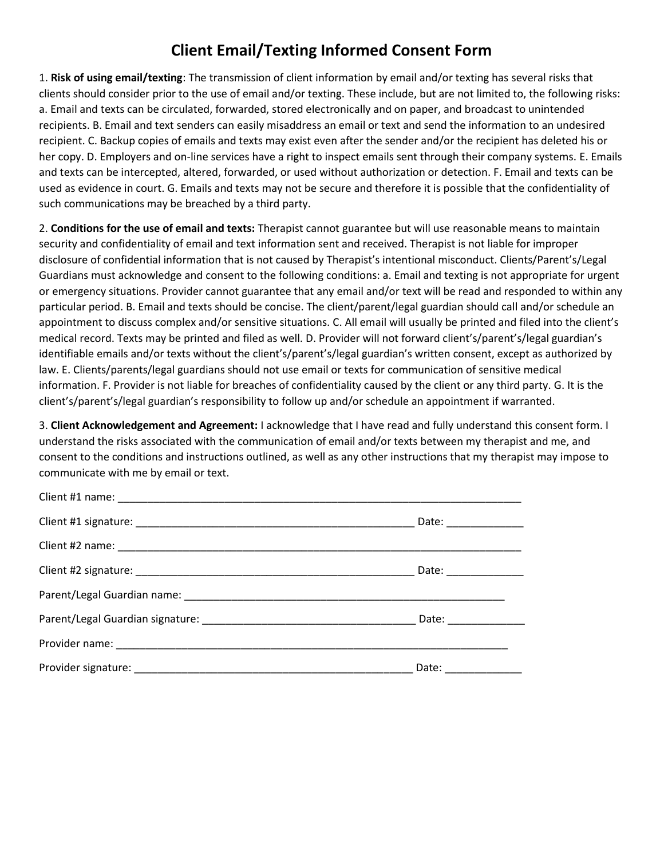### **Client Email/Texting Informed Consent Form**

1. **Risk of using email/texting**: The transmission of client information by email and/or texting has several risks that clients should consider prior to the use of email and/or texting. These include, but are not limited to, the following risks: a. Email and texts can be circulated, forwarded, stored electronically and on paper, and broadcast to unintended recipients. B. Email and text senders can easily misaddress an email or text and send the information to an undesired recipient. C. Backup copies of emails and texts may exist even after the sender and/or the recipient has deleted his or her copy. D. Employers and on-line services have a right to inspect emails sent through their company systems. E. Emails and texts can be intercepted, altered, forwarded, or used without authorization or detection. F. Email and texts can be used as evidence in court. G. Emails and texts may not be secure and therefore it is possible that the confidentiality of such communications may be breached by a third party.

2. **Conditions for the use of email and texts:** Therapist cannot guarantee but will use reasonable means to maintain security and confidentiality of email and text information sent and received. Therapist is not liable for improper disclosure of confidential information that is not caused by Therapist's intentional misconduct. Clients/Parent's/Legal Guardians must acknowledge and consent to the following conditions: a. Email and texting is not appropriate for urgent or emergency situations. Provider cannot guarantee that any email and/or text will be read and responded to within any particular period. B. Email and texts should be concise. The client/parent/legal guardian should call and/or schedule an appointment to discuss complex and/or sensitive situations. C. All email will usually be printed and filed into the client's medical record. Texts may be printed and filed as well. D. Provider will not forward client's/parent's/legal guardian's identifiable emails and/or texts without the client's/parent's/legal guardian's written consent, except as authorized by law. E. Clients/parents/legal guardians should not use email or texts for communication of sensitive medical information. F. Provider is not liable for breaches of confidentiality caused by the client or any third party. G. It is the client's/parent's/legal guardian's responsibility to follow up and/or schedule an appointment if warranted.

3. **Client Acknowledgement and Agreement:** I acknowledge that I have read and fully understand this consent form. I understand the risks associated with the communication of email and/or texts between my therapist and me, and consent to the conditions and instructions outlined, as well as any other instructions that my therapist may impose to communicate with me by email or text.

| Date: _______________  |
|------------------------|
|                        |
| Date: _______________  |
|                        |
| Date: ________________ |
|                        |
| Date: ______________   |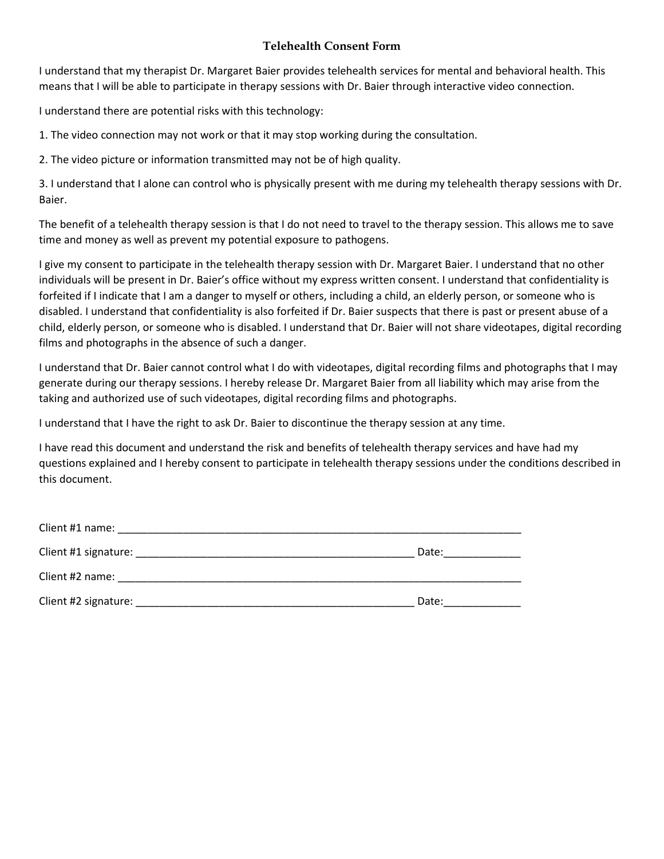#### **Telehealth Consent Form**

I understand that my therapist Dr. Margaret Baier provides telehealth services for mental and behavioral health. This means that I will be able to participate in therapy sessions with Dr. Baier through interactive video connection.

I understand there are potential risks with this technology:

1. The video connection may not work or that it may stop working during the consultation.

2. The video picture or information transmitted may not be of high quality.

3. I understand that I alone can control who is physically present with me during my telehealth therapy sessions with Dr. Baier.

The benefit of a telehealth therapy session is that I do not need to travel to the therapy session. This allows me to save time and money as well as prevent my potential exposure to pathogens.

I give my consent to participate in the telehealth therapy session with Dr. Margaret Baier. I understand that no other individuals will be present in Dr. Baier's office without my express written consent. I understand that confidentiality is forfeited if I indicate that I am a danger to myself or others, including a child, an elderly person, or someone who is disabled. I understand that confidentiality is also forfeited if Dr. Baier suspects that there is past or present abuse of a child, elderly person, or someone who is disabled. I understand that Dr. Baier will not share videotapes, digital recording films and photographs in the absence of such a danger.

I understand that Dr. Baier cannot control what I do with videotapes, digital recording films and photographs that I may generate during our therapy sessions. I hereby release Dr. Margaret Baier from all liability which may arise from the taking and authorized use of such videotapes, digital recording films and photographs.

I understand that I have the right to ask Dr. Baier to discontinue the therapy session at any time.

I have read this document and understand the risk and benefits of telehealth therapy services and have had my questions explained and I hereby consent to participate in telehealth therapy sessions under the conditions described in this document.

| Client #1 name:      |       |
|----------------------|-------|
| Client #1 signature: | Date: |
| Client #2 name:      |       |
| Client #2 signature: | Date: |